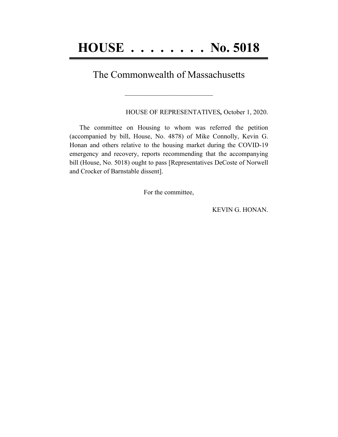## The Commonwealth of Massachusetts

**\_\_\_\_\_\_\_\_\_\_\_\_\_\_\_\_\_\_\_\_\_\_\_\_\_\_\_\_\_\_\_\_\_\_\_\_\_\_\_\_**

HOUSE OF REPRESENTATIVES*,* October 1, 2020.

The committee on Housing to whom was referred the petition (accompanied by bill, House, No. 4878) of Mike Connolly, Kevin G. Honan and others relative to the housing market during the COVID-19 emergency and recovery, reports recommending that the accompanying bill (House, No. 5018) ought to pass [Representatives DeCoste of Norwell and Crocker of Barnstable dissent].

For the committee,

KEVIN G. HONAN.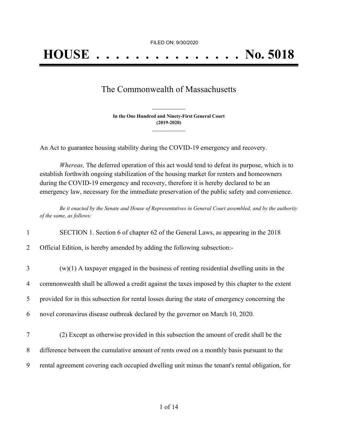FILED ON: 9/30/2020

## The Commonwealth of Massachusetts

**In the One Hundred and Ninety-First General Court (2019-2020) \_\_\_\_\_\_\_\_\_\_\_\_\_\_\_**

**\_\_\_\_\_\_\_\_\_\_\_\_\_\_\_**

An Act to guarantee housing stability during the COVID-19 emergency and recovery.

*Whereas,* The deferred operation of this act would tend to defeat its purpose, which is to establish forthwith ongoing stabilization of the housing market for renters and homeowners during the COVID-19 emergency and recovery, therefore it is hereby declared to be an emergency law, necessary for the immediate preservation of the public safety and convenience.

Be it enacted by the Senate and House of Representatives in General Court assembled, and by the authority *of the same, as follows:*

| $\mathbf{1}$   | SECTION 1. Section 6 of chapter 62 of the General Laws, as appearing in the 2018                |
|----------------|-------------------------------------------------------------------------------------------------|
| $\overline{2}$ | Official Edition, is hereby amended by adding the following subsection:                         |
| $\overline{3}$ | $(w)(1)$ A taxpayer engaged in the business of renting residential dwelling units in the        |
| $\overline{4}$ | commonwealth shall be allowed a credit against the taxes imposed by this chapter to the extent  |
| 5              | provided for in this subsection for rental losses during the state of emergency concerning the  |
| 6              | novel coronavirus disease outbreak declared by the governor on March 10, 2020.                  |
| $\tau$         | (2) Except as otherwise provided in this subsection the amount of credit shall be the           |
| 8              | difference between the cumulative amount of rents owed on a monthly basis pursuant to the       |
| 9              | rental agreement covering each occupied dwelling unit minus the tenant's rental obligation, for |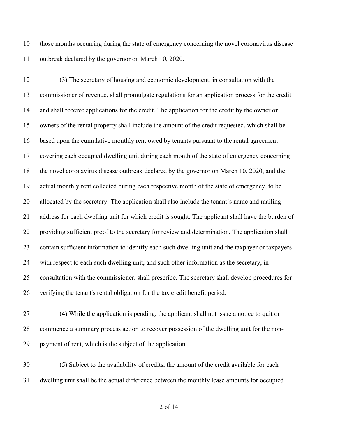those months occurring during the state of emergency concerning the novel coronavirus disease outbreak declared by the governor on March 10, 2020.

 (3) The secretary of housing and economic development, in consultation with the commissioner of revenue, shall promulgate regulations for an application process for the credit and shall receive applications for the credit. The application for the credit by the owner or owners of the rental property shall include the amount of the credit requested, which shall be based upon the cumulative monthly rent owed by tenants pursuant to the rental agreement covering each occupied dwelling unit during each month of the state of emergency concerning the novel coronavirus disease outbreak declared by the governor on March 10, 2020, and the actual monthly rent collected during each respective month of the state of emergency, to be allocated by the secretary. The application shall also include the tenant's name and mailing address for each dwelling unit for which credit is sought. The applicant shall have the burden of providing sufficient proof to the secretary for review and determination. The application shall contain sufficient information to identify each such dwelling unit and the taxpayer or taxpayers with respect to each such dwelling unit, and such other information as the secretary, in consultation with the commissioner, shall prescribe. The secretary shall develop procedures for verifying the tenant's rental obligation for the tax credit benefit period.

 (4) While the application is pending, the applicant shall not issue a notice to quit or commence a summary process action to recover possession of the dwelling unit for the non-payment of rent, which is the subject of the application.

 (5) Subject to the availability of credits, the amount of the credit available for each dwelling unit shall be the actual difference between the monthly lease amounts for occupied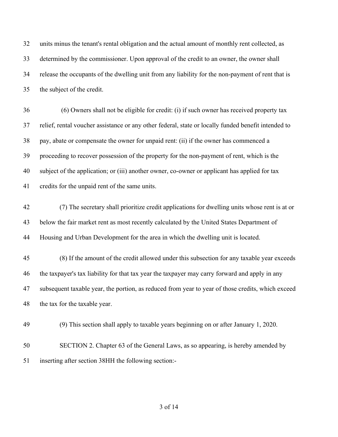units minus the tenant's rental obligation and the actual amount of monthly rent collected, as determined by the commissioner. Upon approval of the credit to an owner, the owner shall release the occupants of the dwelling unit from any liability for the non-payment of rent that is the subject of the credit.

 (6) Owners shall not be eligible for credit: (i) if such owner has received property tax relief, rental voucher assistance or any other federal, state or locally funded benefit intended to pay, abate or compensate the owner for unpaid rent: (ii) if the owner has commenced a proceeding to recover possession of the property for the non-payment of rent, which is the subject of the application; or (iii) another owner, co-owner or applicant has applied for tax credits for the unpaid rent of the same units.

 (7) The secretary shall prioritize credit applications for dwelling units whose rent is at or below the fair market rent as most recently calculated by the United States Department of Housing and Urban Development for the area in which the dwelling unit is located.

 (8) If the amount of the credit allowed under this subsection for any taxable year exceeds the taxpayer's tax liability for that tax year the taxpayer may carry forward and apply in any subsequent taxable year, the portion, as reduced from year to year of those credits, which exceed the tax for the taxable year.

(9) This section shall apply to taxable years beginning on or after January 1, 2020.

 SECTION 2. Chapter 63 of the General Laws, as so appearing, is hereby amended by inserting after section 38HH the following section:-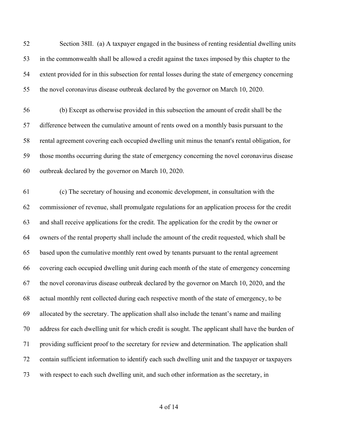Section 38II. (a) A taxpayer engaged in the business of renting residential dwelling units in the commonwealth shall be allowed a credit against the taxes imposed by this chapter to the extent provided for in this subsection for rental losses during the state of emergency concerning the novel coronavirus disease outbreak declared by the governor on March 10, 2020.

 (b) Except as otherwise provided in this subsection the amount of credit shall be the difference between the cumulative amount of rents owed on a monthly basis pursuant to the rental agreement covering each occupied dwelling unit minus the tenant's rental obligation, for those months occurring during the state of emergency concerning the novel coronavirus disease outbreak declared by the governor on March 10, 2020.

 (c) The secretary of housing and economic development, in consultation with the commissioner of revenue, shall promulgate regulations for an application process for the credit and shall receive applications for the credit. The application for the credit by the owner or owners of the rental property shall include the amount of the credit requested, which shall be based upon the cumulative monthly rent owed by tenants pursuant to the rental agreement covering each occupied dwelling unit during each month of the state of emergency concerning the novel coronavirus disease outbreak declared by the governor on March 10, 2020, and the actual monthly rent collected during each respective month of the state of emergency, to be allocated by the secretary. The application shall also include the tenant's name and mailing address for each dwelling unit for which credit is sought. The applicant shall have the burden of providing sufficient proof to the secretary for review and determination. The application shall contain sufficient information to identify each such dwelling unit and the taxpayer or taxpayers with respect to each such dwelling unit, and such other information as the secretary, in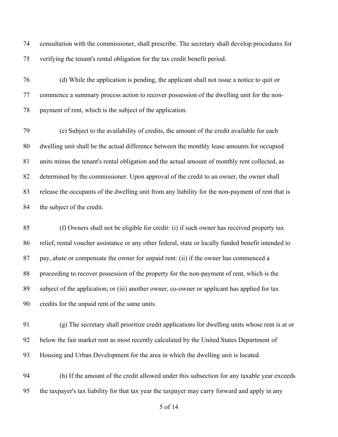consultation with the commissioner, shall prescribe. The secretary shall develop procedures for verifying the tenant's rental obligation for the tax credit benefit period.

 (d) While the application is pending, the applicant shall not issue a notice to quit or commence a summary process action to recover possession of the dwelling unit for the non-payment of rent, which is the subject of the application.

 (e) Subject to the availability of credits, the amount of the credit available for each dwelling unit shall be the actual difference between the monthly lease amounts for occupied units minus the tenant's rental obligation and the actual amount of monthly rent collected, as determined by the commissioner. Upon approval of the credit to an owner, the owner shall release the occupants of the dwelling unit from any liability for the non-payment of rent that is the subject of the credit.

 (f) Owners shall not be eligible for credit: (i) if such owner has received property tax relief, rental voucher assistance or any other federal, state or locally funded benefit intended to pay, abate or compensate the owner for unpaid rent: (ii) if the owner has commenced a proceeding to recover possession of the property for the non-payment of rent, which is the subject of the application; or (iii) another owner, co-owner or applicant has applied for tax credits for the unpaid rent of the same units.

 (g) The secretary shall prioritize credit applications for dwelling units whose rent is at or below the fair market rent as most recently calculated by the United States Department of Housing and Urban Development for the area in which the dwelling unit is located.

 (h) If the amount of the credit allowed under this subsection for any taxable year exceeds the taxpayer's tax liability for that tax year the taxpayer may carry forward and apply in any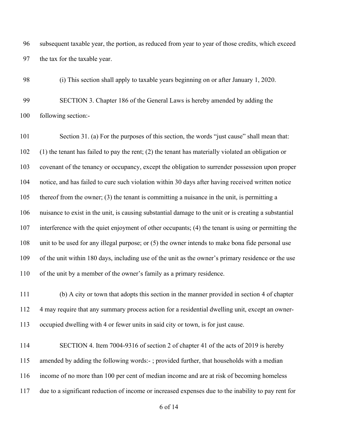subsequent taxable year, the portion, as reduced from year to year of those credits, which exceed the tax for the taxable year.

(i) This section shall apply to taxable years beginning on or after January 1, 2020.

 SECTION 3. Chapter 186 of the General Laws is hereby amended by adding the following section:-

 Section 31. (a) For the purposes of this section, the words "just cause" shall mean that: (1) the tenant has failed to pay the rent; (2) the tenant has materially violated an obligation or covenant of the tenancy or occupancy, except the obligation to surrender possession upon proper notice, and has failed to cure such violation within 30 days after having received written notice thereof from the owner; (3) the tenant is committing a nuisance in the unit, is permitting a nuisance to exist in the unit, is causing substantial damage to the unit or is creating a substantial interference with the quiet enjoyment of other occupants; (4) the tenant is using or permitting the unit to be used for any illegal purpose; or (5) the owner intends to make bona fide personal use of the unit within 180 days, including use of the unit as the owner's primary residence or the use of the unit by a member of the owner's family as a primary residence.

 (b) A city or town that adopts this section in the manner provided in section 4 of chapter 4 may require that any summary process action for a residential dwelling unit, except an owner-occupied dwelling with 4 or fewer units in said city or town, is for just cause.

 SECTION 4. Item 7004-9316 of section 2 of chapter 41 of the acts of 2019 is hereby amended by adding the following words:- ; provided further, that households with a median income of no more than 100 per cent of median income and are at risk of becoming homeless due to a significant reduction of income or increased expenses due to the inability to pay rent for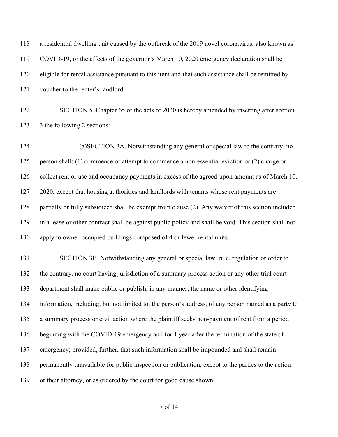| 118 | a residential dwelling unit caused by the outbreak of the 2019 novel coronavirus, also known as       |
|-----|-------------------------------------------------------------------------------------------------------|
| 119 | COVID-19, or the effects of the governor's March 10, 2020 emergency declaration shall be              |
| 120 | eligible for rental assistance pursuant to this item and that such assistance shall be remitted by    |
| 121 | voucher to the renter's landlord.                                                                     |
| 122 | SECTION 5. Chapter 65 of the acts of 2020 is hereby amended by inserting after section                |
| 123 | 3 the following 2 sections:-                                                                          |
| 124 | (a) SECTION 3A. Notwithstanding any general or special law to the contrary, no                        |
| 125 | person shall: (1) commence or attempt to commence a non-essential eviction or (2) charge or           |
| 126 | collect rent or use and occupancy payments in excess of the agreed-upon amount as of March 10,        |
| 127 | 2020, except that housing authorities and landlords with tenants whose rent payments are              |
| 128 | partially or fully subsidized shall be exempt from clause (2). Any waiver of this section included    |
| 129 | in a lease or other contract shall be against public policy and shall be void. This section shall not |
| 130 | apply to owner-occupied buildings composed of 4 or fewer rental units.                                |
| 131 | SECTION 3B. Notwithstanding any general or special law, rule, regulation or order to                  |
| 132 | the contrary, no court having jurisdiction of a summary process action or any other trial court       |
| 133 | department shall make public or publish, in any manner, the name or other identifying                 |
| 134 | information, including, but not limited to, the person's address, of any person named as a party to   |
| 135 | a summary process or civil action where the plaintiff seeks non-payment of rent from a period         |
| 136 | beginning with the COVID-19 emergency and for 1 year after the termination of the state of            |
| 137 | emergency; provided, further, that such information shall be impounded and shall remain               |
| 138 | permanently unavailable for public inspection or publication, except to the parties to the action     |
| 139 | or their attorney, or as ordered by the court for good cause shown.                                   |
|     |                                                                                                       |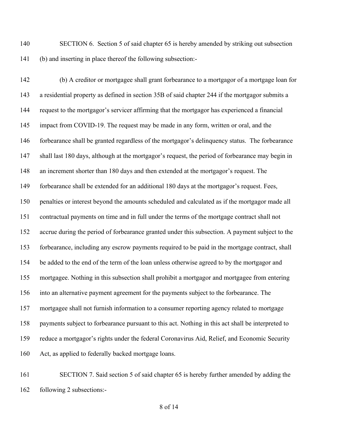SECTION 6. Section 5 of said chapter 65 is hereby amended by striking out subsection (b) and inserting in place thereof the following subsection:-

 (b) A creditor or mortgagee shall grant forbearance to a mortgagor of a mortgage loan for a residential property as defined in section 35B of said chapter 244 if the mortgagor submits a request to the mortgagor's servicer affirming that the mortgagor has experienced a financial 145 impact from COVID-19. The request may be made in any form, written or oral, and the forbearance shall be granted regardless of the mortgagor's delinquency status. The forbearance shall last 180 days, although at the mortgagor's request, the period of forbearance may begin in an increment shorter than 180 days and then extended at the mortgagor's request. The forbearance shall be extended for an additional 180 days at the mortgagor's request. Fees, penalties or interest beyond the amounts scheduled and calculated as if the mortgagor made all contractual payments on time and in full under the terms of the mortgage contract shall not accrue during the period of forbearance granted under this subsection. A payment subject to the forbearance, including any escrow payments required to be paid in the mortgage contract, shall be added to the end of the term of the loan unless otherwise agreed to by the mortgagor and mortgagee. Nothing in this subsection shall prohibit a mortgagor and mortgagee from entering into an alternative payment agreement for the payments subject to the forbearance. The mortgagee shall not furnish information to a consumer reporting agency related to mortgage payments subject to forbearance pursuant to this act. Nothing in this act shall be interpreted to reduce a mortgagor's rights under the federal Coronavirus Aid, Relief, and Economic Security Act, as applied to federally backed mortgage loans.

 SECTION 7. Said section 5 of said chapter 65 is hereby further amended by adding the following 2 subsections:-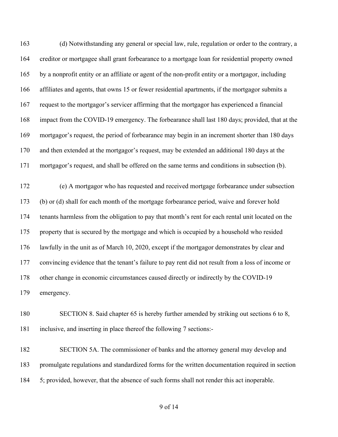(d) Notwithstanding any general or special law, rule, regulation or order to the contrary, a creditor or mortgagee shall grant forbearance to a mortgage loan for residential property owned by a nonprofit entity or an affiliate or agent of the non-profit entity or a mortgagor, including affiliates and agents, that owns 15 or fewer residential apartments, if the mortgagor submits a request to the mortgagor's servicer affirming that the mortgagor has experienced a financial impact from the COVID-19 emergency. The forbearance shall last 180 days; provided, that at the mortgagor's request, the period of forbearance may begin in an increment shorter than 180 days and then extended at the mortgagor's request, may be extended an additional 180 days at the mortgagor's request, and shall be offered on the same terms and conditions in subsection (b).

 (e) A mortgagor who has requested and received mortgage forbearance under subsection (b) or (d) shall for each month of the mortgage forbearance period, waive and forever hold tenants harmless from the obligation to pay that month's rent for each rental unit located on the property that is secured by the mortgage and which is occupied by a household who resided lawfully in the unit as of March 10, 2020, except if the mortgagor demonstrates by clear and convincing evidence that the tenant's failure to pay rent did not result from a loss of income or other change in economic circumstances caused directly or indirectly by the COVID-19 emergency.

 SECTION 8. Said chapter 65 is hereby further amended by striking out sections 6 to 8, inclusive, and inserting in place thereof the following 7 sections:-

 SECTION 5A. The commissioner of banks and the attorney general may develop and promulgate regulations and standardized forms for the written documentation required in section 5; provided, however, that the absence of such forms shall not render this act inoperable.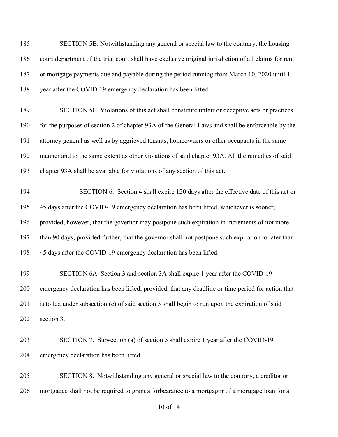SECTION 5B. Notwithstanding any general or special law to the contrary, the housing court department of the trial court shall have exclusive original jurisdiction of all claims for rent or mortgage payments due and payable during the period running from March 10, 2020 until 1 year after the COVID-19 emergency declaration has been lifted.

 SECTION 5C. Violations of this act shall constitute unfair or deceptive acts or practices for the purposes of section 2 of chapter 93A of the General Laws and shall be enforceable by the attorney general as well as by aggrieved tenants, homeowners or other occupants in the same manner and to the same extent as other violations of said chapter 93A. All the remedies of said chapter 93A shall be available for violations of any section of this act.

 SECTION 6. Section 4 shall expire 120 days after the effective date of this act or 45 days after the COVID-19 emergency declaration has been lifted, whichever is sooner; provided, however, that the governor may postpone such expiration in increments of not more than 90 days; provided further, that the governor shall not postpone such expiration to later than 45 days after the COVID-19 emergency declaration has been lifted.

 SECTION 6A. Section 3 and section 3A shall expire 1 year after the COVID-19 emergency declaration has been lifted; provided, that any deadline or time period for action that is tolled under subsection (c) of said section 3 shall begin to run upon the expiration of said section 3.

 SECTION 7. Subsection (a) of section 5 shall expire 1 year after the COVID-19 emergency declaration has been lifted.

 SECTION 8. Notwithstanding any general or special law to the contrary, a creditor or mortgagee shall not be required to grant a forbearance to a mortgagor of a mortgage loan for a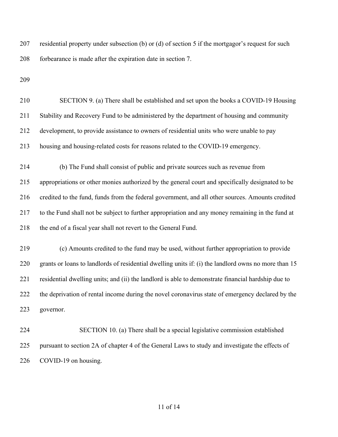residential property under subsection (b) or (d) of section 5 if the mortgagor's request for such forbearance is made after the expiration date in section 7.

 SECTION 9. (a) There shall be established and set upon the books a COVID-19 Housing Stability and Recovery Fund to be administered by the department of housing and community development, to provide assistance to owners of residential units who were unable to pay housing and housing-related costs for reasons related to the COVID-19 emergency. (b) The Fund shall consist of public and private sources such as revenue from appropriations or other monies authorized by the general court and specifically designated to be credited to the fund, funds from the federal government, and all other sources. Amounts credited to the Fund shall not be subject to further appropriation and any money remaining in the fund at 218 the end of a fiscal year shall not revert to the General Fund. (c) Amounts credited to the fund may be used, without further appropriation to provide grants or loans to landlords of residential dwelling units if: (i) the landlord owns no more than 15 residential dwelling units; and (ii) the landlord is able to demonstrate financial hardship due to 222 the deprivation of rental income during the novel coronavirus state of emergency declared by the governor. SECTION 10. (a) There shall be a special legislative commission established pursuant to section 2A of chapter 4 of the General Laws to study and investigate the effects of COVID-19 on housing.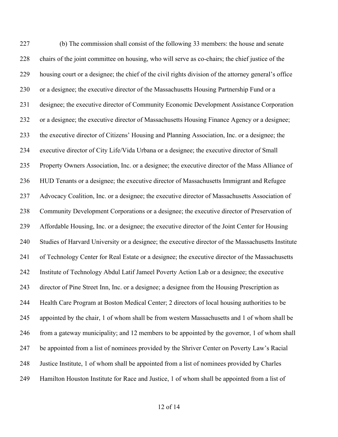(b) The commission shall consist of the following 33 members: the house and senate chairs of the joint committee on housing, who will serve as co-chairs; the chief justice of the housing court or a designee; the chief of the civil rights division of the attorney general's office or a designee; the executive director of the Massachusetts Housing Partnership Fund or a designee; the executive director of Community Economic Development Assistance Corporation or a designee; the executive director of Massachusetts Housing Finance Agency or a designee; the executive director of Citizens' Housing and Planning Association, Inc. or a designee; the executive director of City Life/Vida Urbana or a designee; the executive director of Small Property Owners Association, Inc. or a designee; the executive director of the Mass Alliance of HUD Tenants or a designee; the executive director of Massachusetts Immigrant and Refugee Advocacy Coalition, Inc. or a designee; the executive director of Massachusetts Association of Community Development Corporations or a designee; the executive director of Preservation of Affordable Housing, Inc. or a designee; the executive director of the Joint Center for Housing Studies of Harvard University or a designee; the executive director of the Massachusetts Institute of Technology Center for Real Estate or a designee; the executive director of the Massachusetts Institute of Technology Abdul Latif Jameel Poverty Action Lab or a designee; the executive director of Pine Street Inn, Inc. or a designee; a designee from the Housing Prescription as Health Care Program at Boston Medical Center; 2 directors of local housing authorities to be appointed by the chair, 1 of whom shall be from western Massachusetts and 1 of whom shall be from a gateway municipality; and 12 members to be appointed by the governor, 1 of whom shall be appointed from a list of nominees provided by the Shriver Center on Poverty Law's Racial Justice Institute, 1 of whom shall be appointed from a list of nominees provided by Charles Hamilton Houston Institute for Race and Justice, 1 of whom shall be appointed from a list of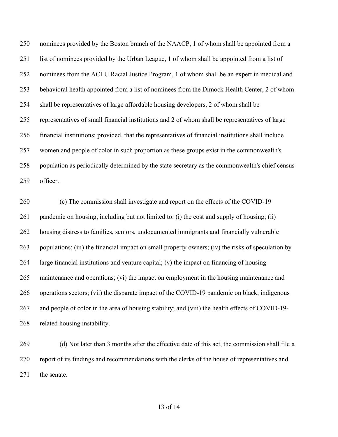nominees provided by the Boston branch of the NAACP, 1 of whom shall be appointed from a list of nominees provided by the Urban League, 1 of whom shall be appointed from a list of nominees from the ACLU Racial Justice Program, 1 of whom shall be an expert in medical and behavioral health appointed from a list of nominees from the Dimock Health Center, 2 of whom shall be representatives of large affordable housing developers, 2 of whom shall be representatives of small financial institutions and 2 of whom shall be representatives of large financial institutions; provided, that the representatives of financial institutions shall include women and people of color in such proportion as these groups exist in the commonwealth's population as periodically determined by the state secretary as the commonwealth's chief census officer.

 (c) The commission shall investigate and report on the effects of the COVID-19 pandemic on housing, including but not limited to: (i) the cost and supply of housing; (ii) housing distress to families, seniors, undocumented immigrants and financially vulnerable populations; (iii) the financial impact on small property owners; (iv) the risks of speculation by large financial institutions and venture capital; (v) the impact on financing of housing maintenance and operations; (vi) the impact on employment in the housing maintenance and operations sectors; (vii) the disparate impact of the COVID-19 pandemic on black, indigenous and people of color in the area of housing stability; and (viii) the health effects of COVID-19- related housing instability.

 (d) Not later than 3 months after the effective date of this act, the commission shall file a report of its findings and recommendations with the clerks of the house of representatives and 271 the senate.